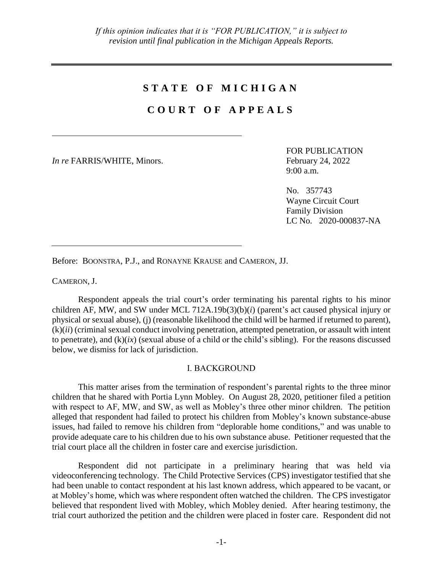## **S T A T E O F M I C H I G A N**

## **C O U R T O F A P P E A L S**

*In re* FARRIS/WHITE, Minors. February 24, 2022

FOR PUBLICATION 9:00 a.m.

No. 357743 Wayne Circuit Court Family Division LC No. 2020-000837-NA

Before: BOONSTRA, P.J., and RONAYNE KRAUSE and CAMERON, JJ.

CAMERON, J.

Respondent appeals the trial court's order terminating his parental rights to his minor children AF, MW, and SW under MCL 712A.19b(3)(b)(*i*) (parent's act caused physical injury or physical or sexual abuse), (j) (reasonable likelihood the child will be harmed if returned to parent), (k)(*ii*) (criminal sexual conduct involving penetration, attempted penetration, or assault with intent to penetrate), and  $(k)(ix)$  (sexual abuse of a child or the child's sibling). For the reasons discussed below, we dismiss for lack of jurisdiction.

## I. BACKGROUND

This matter arises from the termination of respondent's parental rights to the three minor children that he shared with Portia Lynn Mobley. On August 28, 2020, petitioner filed a petition with respect to AF, MW, and SW, as well as Mobley's three other minor children. The petition alleged that respondent had failed to protect his children from Mobley's known substance-abuse issues, had failed to remove his children from "deplorable home conditions," and was unable to provide adequate care to his children due to his own substance abuse. Petitioner requested that the trial court place all the children in foster care and exercise jurisdiction.

Respondent did not participate in a preliminary hearing that was held via videoconferencing technology. The Child Protective Services (CPS) investigator testified that she had been unable to contact respondent at his last known address, which appeared to be vacant, or at Mobley's home, which was where respondent often watched the children. The CPS investigator believed that respondent lived with Mobley, which Mobley denied. After hearing testimony, the trial court authorized the petition and the children were placed in foster care. Respondent did not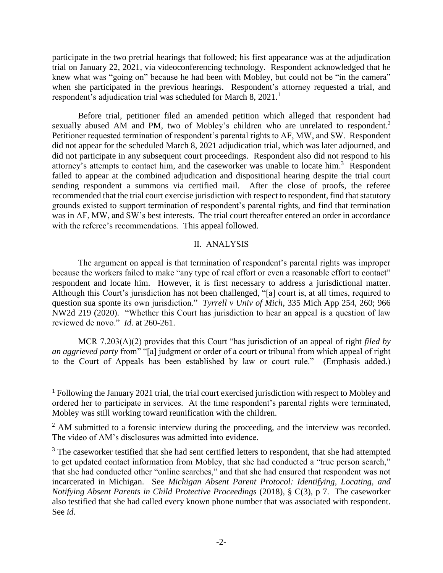participate in the two pretrial hearings that followed; his first appearance was at the adjudication trial on January 22, 2021, via videoconferencing technology. Respondent acknowledged that he knew what was "going on" because he had been with Mobley, but could not be "in the camera" when she participated in the previous hearings. Respondent's attorney requested a trial, and respondent's adjudication trial was scheduled for March 8, 2021.<sup>1</sup>

Before trial, petitioner filed an amended petition which alleged that respondent had sexually abused AM and PM, two of Mobley's children who are unrelated to respondent.<sup>2</sup> Petitioner requested termination of respondent's parental rights to AF, MW, and SW. Respondent did not appear for the scheduled March 8, 2021 adjudication trial, which was later adjourned, and did not participate in any subsequent court proceedings. Respondent also did not respond to his attorney's attempts to contact him, and the caseworker was unable to locate him.<sup>3</sup> Respondent failed to appear at the combined adjudication and dispositional hearing despite the trial court sending respondent a summons via certified mail. After the close of proofs, the referee recommended that the trial court exercise jurisdiction with respect to respondent, find that statutory grounds existed to support termination of respondent's parental rights, and find that termination was in AF, MW, and SW's best interests. The trial court thereafter entered an order in accordance with the referee's recommendations. This appeal followed.

## II. ANALYSIS

The argument on appeal is that termination of respondent's parental rights was improper because the workers failed to make "any type of real effort or even a reasonable effort to contact" respondent and locate him. However, it is first necessary to address a jurisdictional matter. Although this Court's jurisdiction has not been challenged, "[a] court is, at all times, required to question sua sponte its own jurisdiction." *Tyrrell v Univ of Mich*, 335 Mich App 254, 260; 966 NW2d 219 (2020). "Whether this Court has jurisdiction to hear an appeal is a question of law reviewed de novo." *Id*. at 260-261.

MCR 7.203(A)(2) provides that this Court "has jurisdiction of an appeal of right *filed by an aggrieved party* from" "[a] judgment or order of a court or tribunal from which appeal of right to the Court of Appeals has been established by law or court rule." (Emphasis added.)

 $\overline{a}$ 

<sup>&</sup>lt;sup>1</sup> Following the January 2021 trial, the trial court exercised jurisdiction with respect to Mobley and ordered her to participate in services. At the time respondent's parental rights were terminated, Mobley was still working toward reunification with the children.

 $2$  AM submitted to a forensic interview during the proceeding, and the interview was recorded. The video of AM's disclosures was admitted into evidence.

<sup>&</sup>lt;sup>3</sup> The caseworker testified that she had sent certified letters to respondent, that she had attempted to get updated contact information from Mobley, that she had conducted a "true person search," that she had conducted other "online searches," and that she had ensured that respondent was not incarcerated in Michigan. See *Michigan Absent Parent Protocol: Identifying, Locating, and Notifying Absent Parents in Child Protective Proceedings* (2018), § C(3), p 7. The caseworker also testified that she had called every known phone number that was associated with respondent. See *id*.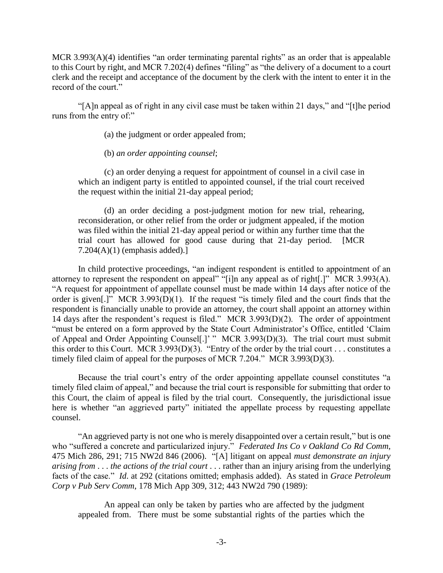MCR 3.993(A)(4) identifies "an order terminating parental rights" as an order that is appealable to this Court by right, and MCR 7.202(4) defines "filing" as "the delivery of a document to a court clerk and the receipt and acceptance of the document by the clerk with the intent to enter it in the record of the court."

"[A]n appeal as of right in any civil case must be taken within 21 days," and "[t]he period runs from the entry of:"

(a) the judgment or order appealed from;

(b) *an order appointing counsel*;

(c) an order denying a request for appointment of counsel in a civil case in which an indigent party is entitled to appointed counsel, if the trial court received the request within the initial 21-day appeal period;

(d) an order deciding a post-judgment motion for new trial, rehearing, reconsideration, or other relief from the order or judgment appealed, if the motion was filed within the initial 21-day appeal period or within any further time that the trial court has allowed for good cause during that 21-day period. [MCR 7.204(A)(1) (emphasis added).]

In child protective proceedings, "an indigent respondent is entitled to appointment of an attorney to represent the respondent on appeal" "[i]n any appeal as of right[.]" MCR 3.993(A). "A request for appointment of appellate counsel must be made within 14 days after notice of the order is given[.]" MCR 3.993(D)(1). If the request "is timely filed and the court finds that the respondent is financially unable to provide an attorney, the court shall appoint an attorney within 14 days after the respondent's request is filed." MCR 3.993(D)(2). The order of appointment "must be entered on a form approved by the State Court Administrator's Office, entitled 'Claim of Appeal and Order Appointing Counsel[.]' " MCR 3.993(D)(3). The trial court must submit this order to this Court. MCR 3.993(D)(3). "Entry of the order by the trial court . . . constitutes a timely filed claim of appeal for the purposes of MCR 7.204." MCR 3.993(D)(3).

Because the trial court's entry of the order appointing appellate counsel constitutes "a timely filed claim of appeal," and because the trial court is responsible for submitting that order to this Court, the claim of appeal is filed by the trial court. Consequently, the jurisdictional issue here is whether "an aggrieved party" initiated the appellate process by requesting appellate counsel.

"An aggrieved party is not one who is merely disappointed over a certain result," but is one who "suffered a concrete and particularized injury." *Federated Ins Co v Oakland Co Rd Comm*, 475 Mich 286, 291; 715 NW2d 846 (2006). "[A] litigant on appeal *must demonstrate an injury arising from* . . . *the actions of the trial court* . . . rather than an injury arising from the underlying facts of the case." *Id*. at 292 (citations omitted; emphasis added). As stated in *Grace Petroleum Corp v Pub Serv Comm*, 178 Mich App 309, 312; 443 NW2d 790 (1989):

An appeal can only be taken by parties who are affected by the judgment appealed from. There must be some substantial rights of the parties which the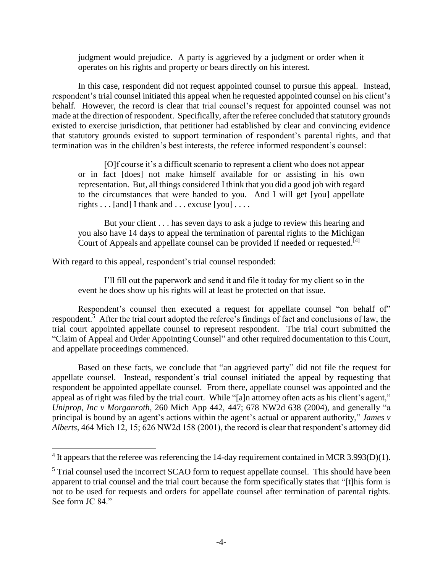judgment would prejudice. A party is aggrieved by a judgment or order when it operates on his rights and property or bears directly on his interest.

In this case, respondent did not request appointed counsel to pursue this appeal. Instead, respondent's trial counsel initiated this appeal when he requested appointed counsel on his client's behalf. However, the record is clear that trial counsel's request for appointed counsel was not made at the direction of respondent. Specifically, after the referee concluded that statutory grounds existed to exercise jurisdiction, that petitioner had established by clear and convincing evidence that statutory grounds existed to support termination of respondent's parental rights, and that termination was in the children's best interests, the referee informed respondent's counsel:

[O]f course it's a difficult scenario to represent a client who does not appear or in fact [does] not make himself available for or assisting in his own representation. But, all things considered I think that you did a good job with regard to the circumstances that were handed to you. And I will get [you] appellate rights . . . [and] I thank and . . . excuse [you] . . . .

But your client . . . has seven days to ask a judge to review this hearing and you also have 14 days to appeal the termination of parental rights to the Michigan Court of Appeals and appellate counsel can be provided if needed or requested.<sup>[4]</sup>

With regard to this appeal, respondent's trial counsel responded:

 $\overline{a}$ 

I'll fill out the paperwork and send it and file it today for my client so in the event he does show up his rights will at least be protected on that issue.

Respondent's counsel then executed a request for appellate counsel "on behalf of" respondent.<sup>5</sup> After the trial court adopted the referee's findings of fact and conclusions of law, the trial court appointed appellate counsel to represent respondent. The trial court submitted the "Claim of Appeal and Order Appointing Counsel" and other required documentation to this Court, and appellate proceedings commenced.

Based on these facts, we conclude that "an aggrieved party" did not file the request for appellate counsel. Instead, respondent's trial counsel initiated the appeal by requesting that respondent be appointed appellate counsel. From there, appellate counsel was appointed and the appeal as of right was filed by the trial court. While "[a]n attorney often acts as his client's agent," *Uniprop, Inc v Morganroth*, 260 Mich App 442, 447; 678 NW2d 638 (2004), and generally "a principal is bound by an agent's actions within the agent's actual or apparent authority," *James v Alberts*, 464 Mich 12, 15; 626 NW2d 158 (2001), the record is clear that respondent's attorney did

 $4$  It appears that the referee was referencing the 14-day requirement contained in MCR 3.993(D)(1).

<sup>&</sup>lt;sup>5</sup> Trial counsel used the incorrect SCAO form to request appellate counsel. This should have been apparent to trial counsel and the trial court because the form specifically states that "[t]his form is not to be used for requests and orders for appellate counsel after termination of parental rights. See form JC 84."